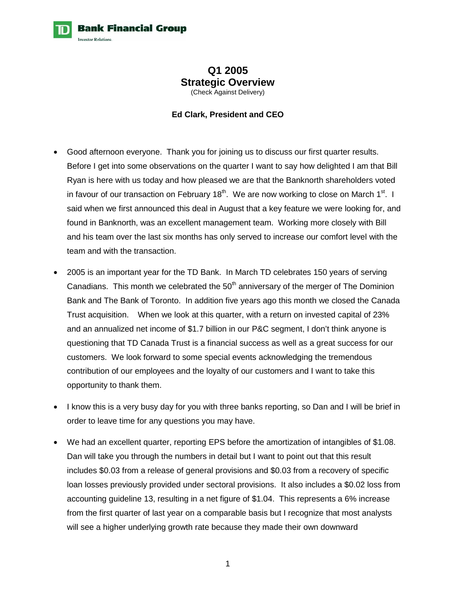**Bank Financial Group** 

## **Q1 2005 Strategic Overview**  (Check Against Delivery)

## **Ed Clark, President and CEO**

- Good afternoon everyone. Thank you for joining us to discuss our first quarter results. Before I get into some observations on the quarter I want to say how delighted I am that Bill Ryan is here with us today and how pleased we are that the Banknorth shareholders voted in favour of our transaction on February 18<sup>th</sup>. We are now working to close on March 1<sup>st</sup>. I said when we first announced this deal in August that a key feature we were looking for, and found in Banknorth, was an excellent management team. Working more closely with Bill and his team over the last six months has only served to increase our comfort level with the team and with the transaction.
- 2005 is an important year for the TD Bank. In March TD celebrates 150 years of serving Canadians. This month we celebrated the  $50<sup>th</sup>$  anniversary of the merger of The Dominion Bank and The Bank of Toronto. In addition five years ago this month we closed the Canada Trust acquisition. When we look at this quarter, with a return on invested capital of 23% and an annualized net income of \$1.7 billion in our P&C segment, I don't think anyone is questioning that TD Canada Trust is a financial success as well as a great success for our customers. We look forward to some special events acknowledging the tremendous contribution of our employees and the loyalty of our customers and I want to take this opportunity to thank them.
- I know this is a very busy day for you with three banks reporting, so Dan and I will be brief in order to leave time for any questions you may have.
- We had an excellent quarter, reporting EPS before the amortization of intangibles of \$1.08. Dan will take you through the numbers in detail but I want to point out that this result includes \$0.03 from a release of general provisions and \$0.03 from a recovery of specific loan losses previously provided under sectoral provisions. It also includes a \$0.02 loss from accounting guideline 13, resulting in a net figure of \$1.04. This represents a 6% increase from the first quarter of last year on a comparable basis but I recognize that most analysts will see a higher underlying growth rate because they made their own downward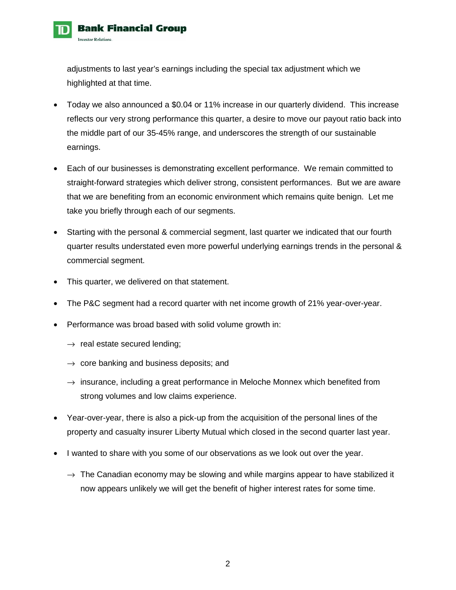

adjustments to last year's earnings including the special tax adjustment which we highlighted at that time.

- Today we also announced a \$0.04 or 11% increase in our quarterly dividend. This increase reflects our very strong performance this quarter, a desire to move our payout ratio back into the middle part of our 35-45% range, and underscores the strength of our sustainable earnings.
- Each of our businesses is demonstrating excellent performance. We remain committed to straight-forward strategies which deliver strong, consistent performances. But we are aware that we are benefiting from an economic environment which remains quite benign. Let me take you briefly through each of our segments.
- Starting with the personal & commercial segment, last quarter we indicated that our fourth quarter results understated even more powerful underlying earnings trends in the personal & commercial segment.
- This quarter, we delivered on that statement.
- The P&C segment had a record quarter with net income growth of 21% year-over-year.
- Performance was broad based with solid volume growth in:
	- $\rightarrow$  real estate secured lending;
	- $\rightarrow$  core banking and business deposits; and
	- $\rightarrow$  insurance, including a great performance in Meloche Monnex which benefited from strong volumes and low claims experience.
- Year-over-year, there is also a pick-up from the acquisition of the personal lines of the property and casualty insurer Liberty Mutual which closed in the second quarter last year.
- I wanted to share with you some of our observations as we look out over the year.
	- $\rightarrow$  The Canadian economy may be slowing and while margins appear to have stabilized it now appears unlikely we will get the benefit of higher interest rates for some time.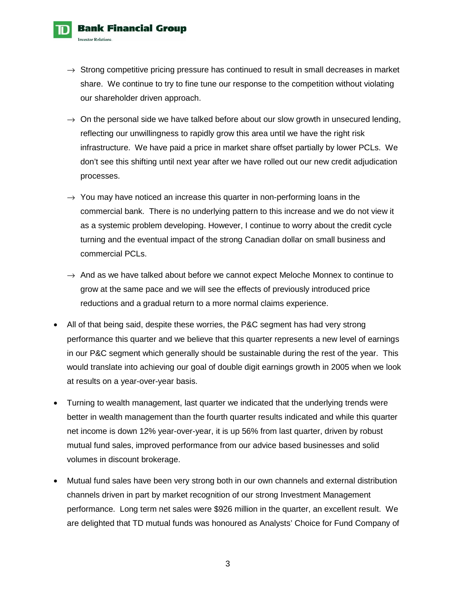- $\rightarrow$  Strong competitive pricing pressure has continued to result in small decreases in market share. We continue to try to fine tune our response to the competition without violating our shareholder driven approach.
- $\rightarrow$  On the personal side we have talked before about our slow growth in unsecured lending, reflecting our unwillingness to rapidly grow this area until we have the right risk infrastructure. We have paid a price in market share offset partially by lower PCLs. We don't see this shifting until next year after we have rolled out our new credit adjudication processes.
- $\rightarrow$  You may have noticed an increase this quarter in non-performing loans in the commercial bank. There is no underlying pattern to this increase and we do not view it as a systemic problem developing. However, I continue to worry about the credit cycle turning and the eventual impact of the strong Canadian dollar on small business and commercial PCLs.
- $\rightarrow$  And as we have talked about before we cannot expect Meloche Monnex to continue to grow at the same pace and we will see the effects of previously introduced price reductions and a gradual return to a more normal claims experience.
- All of that being said, despite these worries, the P&C segment has had very strong performance this quarter and we believe that this quarter represents a new level of earnings in our P&C segment which generally should be sustainable during the rest of the year. This would translate into achieving our goal of double digit earnings growth in 2005 when we look at results on a year-over-year basis.
- Turning to wealth management, last quarter we indicated that the underlying trends were better in wealth management than the fourth quarter results indicated and while this quarter net income is down 12% year-over-year, it is up 56% from last quarter, driven by robust mutual fund sales, improved performance from our advice based businesses and solid volumes in discount brokerage.
- Mutual fund sales have been very strong both in our own channels and external distribution channels driven in part by market recognition of our strong Investment Management performance. Long term net sales were \$926 million in the quarter, an excellent result. We are delighted that TD mutual funds was honoured as Analysts' Choice for Fund Company of